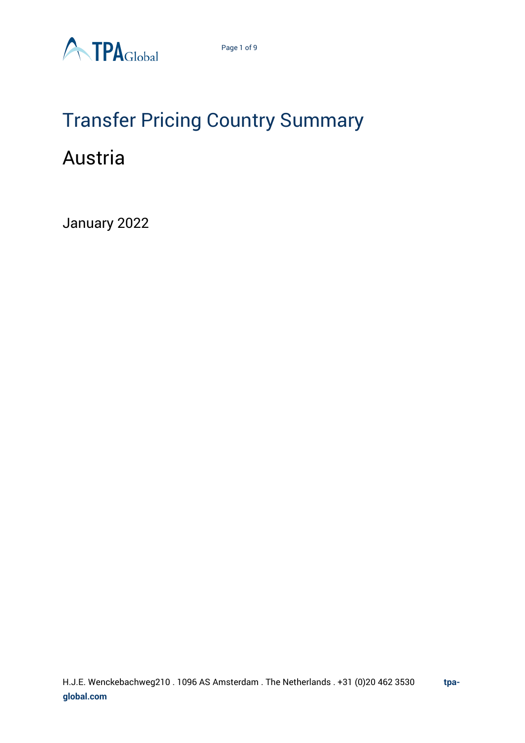

## Transfer Pricing Country Summary Austria

January 2022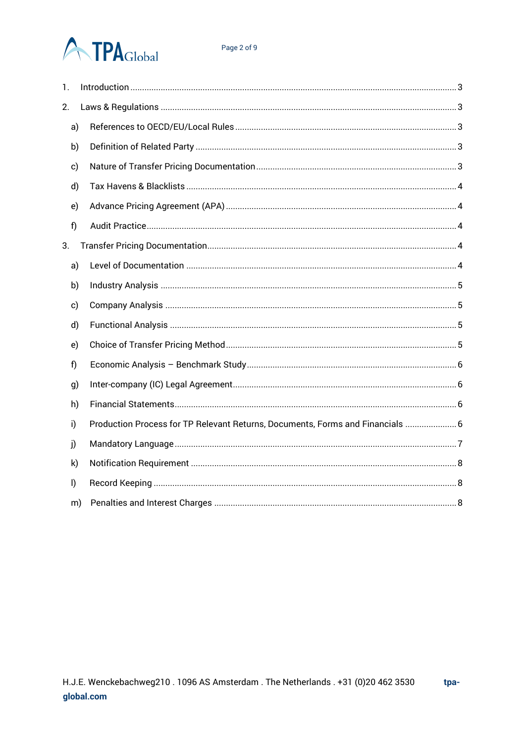# **ATPA**Global

| 1.           |    |                                                                                |
|--------------|----|--------------------------------------------------------------------------------|
| 2.           |    |                                                                                |
|              | a) |                                                                                |
|              | b) |                                                                                |
|              | c) |                                                                                |
|              | d) |                                                                                |
|              | e) |                                                                                |
| f)           |    |                                                                                |
| 3.           |    |                                                                                |
|              | a) |                                                                                |
|              | b) |                                                                                |
|              | c) |                                                                                |
|              | d) |                                                                                |
|              | e) |                                                                                |
| f            |    |                                                                                |
|              | g) |                                                                                |
|              | h) |                                                                                |
| i)           |    | Production Process for TP Relevant Returns, Documents, Forms and Financials  6 |
| j)           |    |                                                                                |
|              | k) |                                                                                |
| $\mathsf{I}$ |    |                                                                                |
|              | m) |                                                                                |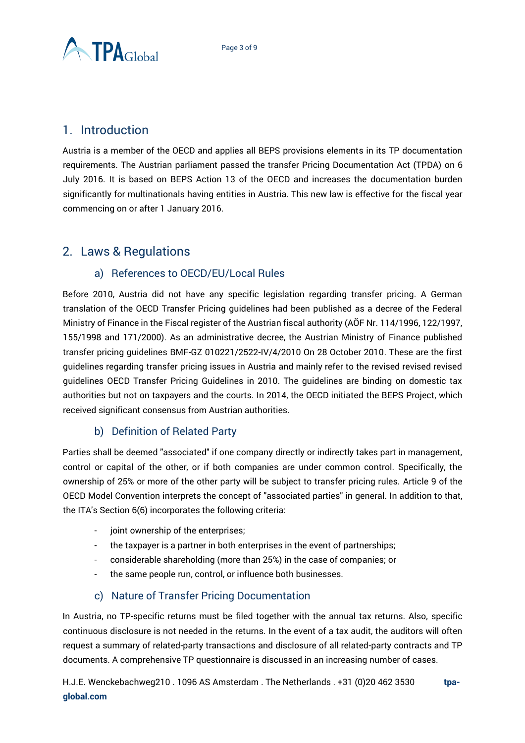

### <span id="page-2-0"></span>1. Introduction

Austria is a member of the OECD and applies all BEPS provisions elements in its TP documentation requirements. The Austrian parliament passed the transfer Pricing Documentation Act (TPDA) on 6 July 2016. It is based on BEPS Action 13 of the OECD and increases the documentation burden significantly for multinationals having entities in Austria. This new law is effective for the fiscal year commencing on or after 1 January 2016.

## <span id="page-2-1"></span>2. Laws & Regulations

#### a) References to OECD/EU/Local Rules

<span id="page-2-2"></span>Before 2010, Austria did not have any specific legislation regarding transfer pricing. A German translation of the OECD Transfer Pricing guidelines had been published as a decree of the Federal Ministry of Finance in the Fiscal register of the Austrian fiscal authority (AÖF Nr. 114/1996, 122/1997, 155/1998 and 171/2000). As an administrative decree, the Austrian Ministry of Finance published transfer pricing guidelines BMF-GZ 010221/2522-IV/4/2010 On 28 October 2010. These are the first guidelines regarding transfer pricing issues in Austria and mainly refer to the revised revised revised guidelines OECD Transfer Pricing Guidelines in 2010. The guidelines are binding on domestic tax authorities but not on taxpayers and the courts. In 2014, the OECD initiated the BEPS Project, which received significant consensus from Austrian authorities.

#### b) Definition of Related Party

<span id="page-2-3"></span>Parties shall be deemed "associated" if one company directly or indirectly takes part in management, control or capital of the other, or if both companies are under common control. Specifically, the ownership of 25% or more of the other party will be subject to transfer pricing rules. Article 9 of the OECD Model Convention interprets the concept of "associated parties" in general. In addition to that, the ITA's Section 6(6) incorporates the following criteria:

- joint ownership of the enterprises;
- the taxpayer is a partner in both enterprises in the event of partnerships;
- considerable shareholding (more than 25%) in the case of companies; or
- the same people run, control, or influence both businesses.

#### c) Nature of Transfer Pricing Documentation

<span id="page-2-4"></span>In Austria, no TP-specific returns must be filed together with the annual tax returns. Also, specific continuous disclosure is not needed in the returns. In the event of a tax audit, the auditors will often request a summary of related-party transactions and disclosure of all related-party contracts and TP documents. A comprehensive TP questionnaire is discussed in an increasing number of cases.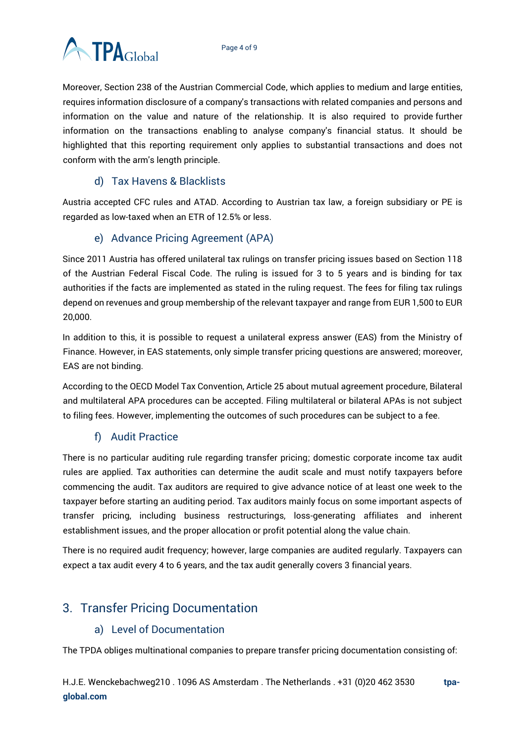

Moreover, Section 238 of the Austrian Commercial Code, which applies to medium and large entities, requires information disclosure of a company's transactions with related companies and persons and information on the value and nature of the relationship. It is also required to provide further information on the transactions enabling to analyse company's financial status. It should be highlighted that this reporting requirement only applies to substantial transactions and does not conform with the arm's length principle.

#### d) Tax Havens & Blacklists

<span id="page-3-0"></span>Austria accepted CFC rules and ATAD. According to Austrian tax law, a foreign subsidiary or PE is regarded as low-taxed when an ETR of 12.5% or less.

#### e) Advance Pricing Agreement (APA)

<span id="page-3-1"></span>Since 2011 Austria has offered unilateral tax rulings on transfer pricing issues based on Section 118 of the Austrian Federal Fiscal Code. The ruling is issued for 3 to 5 years and is binding for tax authorities if the facts are implemented as stated in the ruling request. The fees for filing tax rulings depend on revenues and group membership of the relevant taxpayer and range from EUR 1,500 to EUR 20,000.

In addition to this, it is possible to request a unilateral express answer (EAS) from the Ministry of Finance. However, in EAS statements, only simple transfer pricing questions are answered; moreover, EAS are not binding.

According to the OECD Model Tax Convention, Article 25 about mutual agreement procedure, Bilateral and multilateral APA procedures can be accepted. Filing multilateral or bilateral APAs is not subject to filing fees. However, implementing the outcomes of such procedures can be subject to a fee.

#### f) Audit Practice

<span id="page-3-2"></span>There is no particular auditing rule regarding transfer pricing; domestic corporate income tax audit rules are applied. Tax authorities can determine the audit scale and must notify taxpayers before commencing the audit. Tax auditors are required to give advance notice of at least one week to the taxpayer before starting an auditing period. Tax auditors mainly focus on some important aspects of transfer pricing, including business restructurings, loss-generating affiliates and inherent establishment issues, and the proper allocation or profit potential along the value chain.

There is no required audit frequency; however, large companies are audited regularly. Taxpayers can expect a tax audit every 4 to 6 years, and the tax audit generally covers 3 financial years.

## <span id="page-3-4"></span><span id="page-3-3"></span>3. Transfer Pricing Documentation

#### a) Level of Documentation

The TPDA obliges multinational companies to prepare transfer pricing documentation consisting of: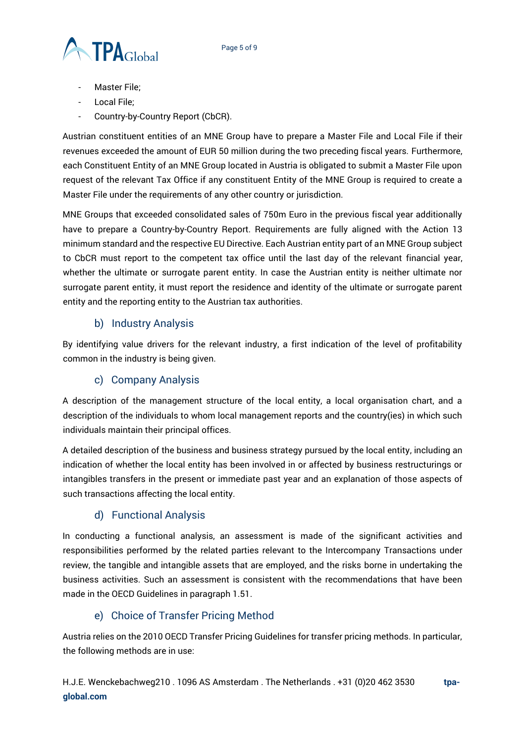

- Master File;
- Local File;
- Country-by-Country Report (CbCR).

Austrian constituent entities of an MNE Group have to prepare a Master File and Local File if their revenues exceeded the amount of EUR 50 million during the two preceding fiscal years. Furthermore, each Constituent Entity of an MNE Group located in Austria is obligated to submit a Master File upon request of the relevant Tax Office if any constituent Entity of the MNE Group is required to create a Master File under the requirements of any other country or jurisdiction.

MNE Groups that exceeded consolidated sales of 750m Euro in the previous fiscal year additionally have to prepare a Country-by-Country Report. Requirements are fully aligned with the Action 13 minimum standard and the respective EU Directive. Each Austrian entity part of an MNE Group subject to CbCR must report to the competent tax office until the last day of the relevant financial year, whether the ultimate or surrogate parent entity. In case the Austrian entity is neither ultimate nor surrogate parent entity, it must report the residence and identity of the ultimate or surrogate parent entity and the reporting entity to the Austrian tax authorities.

#### b) Industry Analysis

<span id="page-4-0"></span>By identifying value drivers for the relevant industry, a first indication of the level of profitability common in the industry is being given.

#### c) Company Analysis

<span id="page-4-1"></span>A description of the management structure of the local entity, a local organisation chart, and a description of the individuals to whom local management reports and the country(ies) in which such individuals maintain their principal offices.

A detailed description of the business and business strategy pursued by the local entity, including an indication of whether the local entity has been involved in or affected by business restructurings or intangibles transfers in the present or immediate past year and an explanation of those aspects of such transactions affecting the local entity.

#### d) Functional Analysis

<span id="page-4-2"></span>In conducting a functional analysis, an assessment is made of the significant activities and responsibilities performed by the related parties relevant to the Intercompany Transactions under review, the tangible and intangible assets that are employed, and the risks borne in undertaking the business activities. Such an assessment is consistent with the recommendations that have been made in the OECD Guidelines in paragraph 1.51.

#### e) Choice of Transfer Pricing Method

<span id="page-4-3"></span>Austria relies on the 2010 OECD Transfer Pricing Guidelines for transfer pricing methods. In particular, the following methods are in use: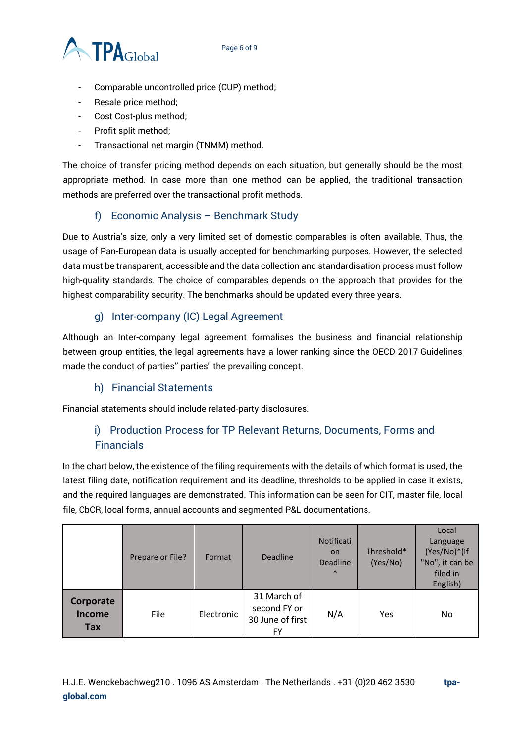

- Comparable uncontrolled price (CUP) method;
- Resale price method;
- Cost Cost-plus method;
- Profit split method;
- Transactional net margin (TNMM) method.

The choice of transfer pricing method depends on each situation, but generally should be the most appropriate method. In case more than one method can be applied, the traditional transaction methods are preferred over the transactional profit methods.

#### f) Economic Analysis – Benchmark Study

<span id="page-5-0"></span>Due to Austria's size, only a very limited set of domestic comparables is often available. Thus, the usage of Pan-European data is usually accepted for benchmarking purposes. However, the selected data must be transparent, accessible and the data collection and standardisation process must follow high-quality standards. The choice of comparables depends on the approach that provides for the highest comparability security. The benchmarks should be updated every three years.

#### g) Inter-company (IC) Legal Agreement

<span id="page-5-1"></span>Although an Inter-company legal agreement formalises the business and financial relationship between group entities, the legal agreements have a lower ranking since the OECD 2017 Guidelines made the conduct of parties'' parties" the prevailing concept.

#### h) Financial Statements

<span id="page-5-3"></span><span id="page-5-2"></span>Financial statements should include related-party disclosures.

#### i) Production Process for TP Relevant Returns, Documents, Forms and Financials

In the chart below, the existence of the filing requirements with the details of which format is used, the latest filing date, notification requirement and its deadline, thresholds to be applied in case it exists, and the required languages are demonstrated. This information can be seen for CIT, master file, local file, CbCR, local forms, annual accounts and segmented P&L documentations.

|                                   | Prepare or File? | Format     | <b>Deadline</b>                                       | <b>Notificati</b><br><b>on</b><br>Deadline<br>$\ast$ | Threshold*<br>(Yes/No) | Local<br>Language<br>(Yes/No)*(If<br>"No", it can be<br>filed in<br>English) |
|-----------------------------------|------------------|------------|-------------------------------------------------------|------------------------------------------------------|------------------------|------------------------------------------------------------------------------|
| Corporate<br><b>Income</b><br>Tax | File             | Electronic | 31 March of<br>second FY or<br>30 June of first<br>FY | N/A                                                  | Yes                    | No                                                                           |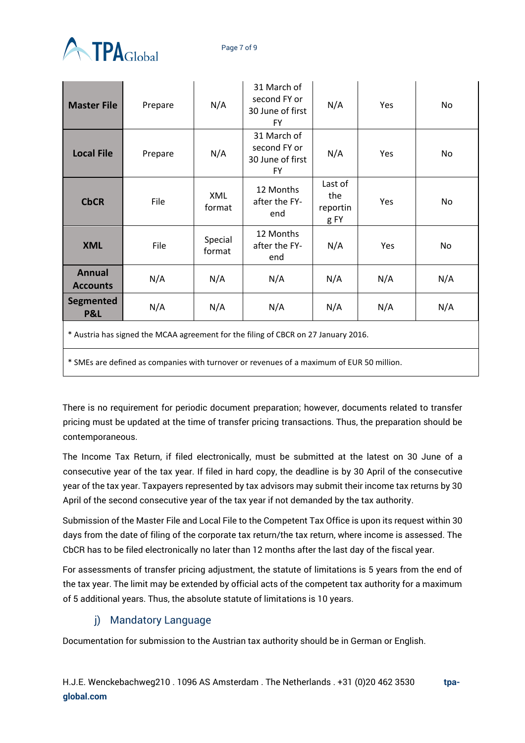

| <b>Master File</b>                                                                 | Prepare | N/A                  | 31 March of<br>second FY or<br>30 June of first<br><b>FY</b> | N/A                                | Yes | No  |  |  |  |
|------------------------------------------------------------------------------------|---------|----------------------|--------------------------------------------------------------|------------------------------------|-----|-----|--|--|--|
| <b>Local File</b>                                                                  | Prepare | N/A                  | 31 March of<br>second FY or<br>30 June of first<br><b>FY</b> | N/A                                | Yes | No  |  |  |  |
| <b>CbCR</b>                                                                        | File    | <b>XML</b><br>format | 12 Months<br>after the FY-<br>end                            | Last of<br>the<br>reportin<br>g FY | Yes | No  |  |  |  |
| <b>XML</b>                                                                         | File    | Special<br>format    | 12 Months<br>after the FY-<br>end                            | N/A                                | Yes | No  |  |  |  |
| <b>Annual</b><br><b>Accounts</b>                                                   | N/A     | N/A                  | N/A                                                          | N/A                                | N/A | N/A |  |  |  |
| Segmented<br><b>P&amp;L</b>                                                        | N/A     | N/A                  | N/A                                                          | N/A                                | N/A | N/A |  |  |  |
| * Austria has signed the MCAA agreement for the filing of CBCR on 27 January 2016. |         |                      |                                                              |                                    |     |     |  |  |  |

\* SMEs are defined as companies with turnover or revenues of a maximum of EUR 50 million.

There is no requirement for periodic document preparation; however, documents related to transfer pricing must be updated at the time of transfer pricing transactions. Thus, the preparation should be contemporaneous.

The Income Tax Return, if filed electronically, must be submitted at the latest on 30 June of a consecutive year of the tax year. If filed in hard copy, the deadline is by 30 April of the consecutive year of the tax year. Taxpayers represented by tax advisors may submit their income tax returns by 30 April of the second consecutive year of the tax year if not demanded by the tax authority.

Submission of the Master File and Local File to the Competent Tax Office is upon its request within 30 days from the date of filing of the corporate tax return/the tax return, where income is assessed. The CbCR has to be filed electronically no later than 12 months after the last day of the fiscal year.

For assessments of transfer pricing adjustment, the statute of limitations is 5 years from the end of the tax year. The limit may be extended by official acts of the competent tax authority for a maximum of 5 additional years. Thus, the absolute statute of limitations is 10 years.

#### j) Mandatory Language

<span id="page-6-0"></span>Documentation for submission to the Austrian tax authority should be in German or English.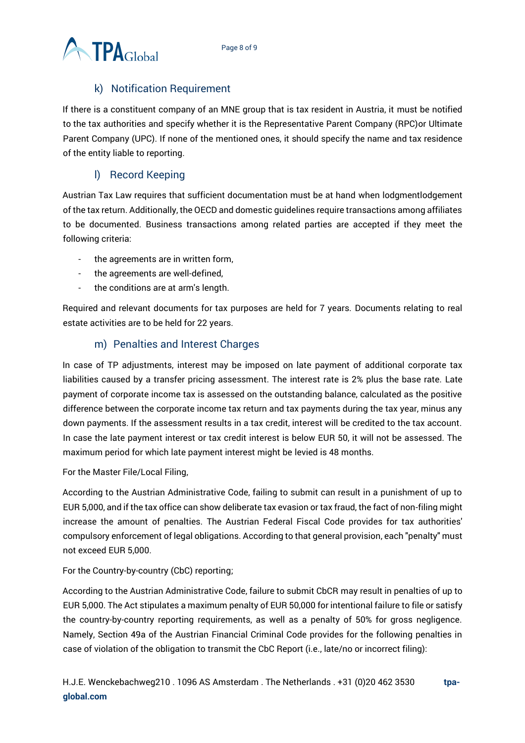

#### k) Notification Requirement

<span id="page-7-0"></span>If there is a constituent company of an MNE group that is tax resident in Austria, it must be notified to the tax authorities and specify whether it is the Representative Parent Company (RPC)or Ultimate Parent Company (UPC). If none of the mentioned ones, it should specify the name and tax residence of the entity liable to reporting.

#### l) Record Keeping

<span id="page-7-1"></span>Austrian Tax Law requires that sufficient documentation must be at hand when lodgmentlodgement of the tax return. Additionally, the OECD and domestic guidelines require transactions among affiliates to be documented. Business transactions among related parties are accepted if they meet the following criteria:

- the agreements are in written form,
- the agreements are well-defined,
- the conditions are at arm's length.

Required and relevant documents for tax purposes are held for 7 years. Documents relating to real estate activities are to be held for 22 years.

#### m) Penalties and Interest Charges

<span id="page-7-2"></span>In case of TP adjustments, interest may be imposed on late payment of additional corporate tax liabilities caused by a transfer pricing assessment. The interest rate is 2% plus the base rate. Late payment of corporate income tax is assessed on the outstanding balance, calculated as the positive difference between the corporate income tax return and tax payments during the tax year, minus any down payments. If the assessment results in a tax credit, interest will be credited to the tax account. In case the late payment interest or tax credit interest is below EUR 50, it will not be assessed. The maximum period for which late payment interest might be levied is 48 months.

#### For the Master File/Local Filing,

According to the Austrian Administrative Code, failing to submit can result in a punishment of up to EUR 5,000, and if the tax office can show deliberate tax evasion or tax fraud, the fact of non-filing might increase the amount of penalties. The Austrian Federal Fiscal Code provides for tax authorities' compulsory enforcement of legal obligations. According to that general provision, each "penalty" must not exceed EUR 5,000.

#### For the Country-by-country (CbC) reporting;

According to the Austrian Administrative Code, failure to submit CbCR may result in penalties of up to EUR 5,000. The Act stipulates a maximum penalty of EUR 50,000 for intentional failure to file or satisfy the country-by-country reporting requirements, as well as a penalty of 50% for gross negligence. Namely, Section 49a of the Austrian Financial Criminal Code provides for the following penalties in case of violation of the obligation to transmit the CbC Report (i.e., late/no or incorrect filing):